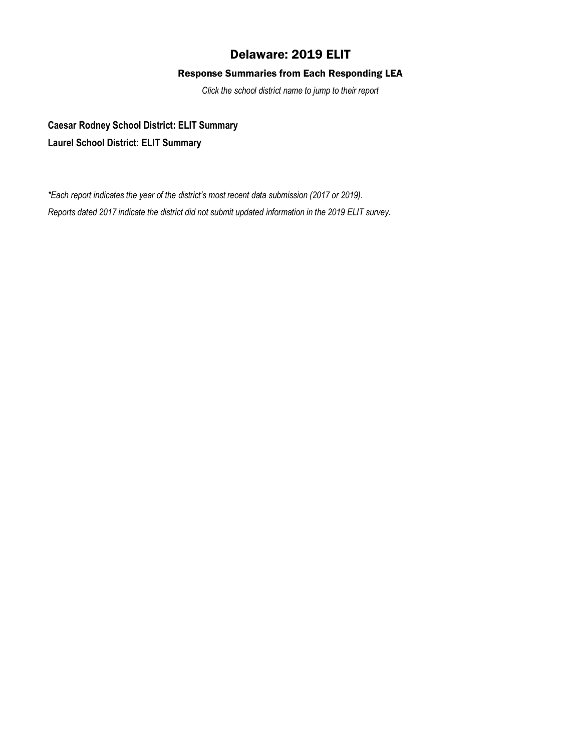# Delaware: 2019 ELIT

## Response Summaries from Each Responding LEA

*Click the school district name to jump to their report*

**[Caesar Rodney School District: ELIT Summary](#page-1-0) [Laurel School District: ELIT Summary](#page-3-0)**

*\*Each report indicates the year of the district's most recent data submission (2017 or 2019). Reports dated 2017 indicate the district did not submit updated information in the 2019 ELIT survey.*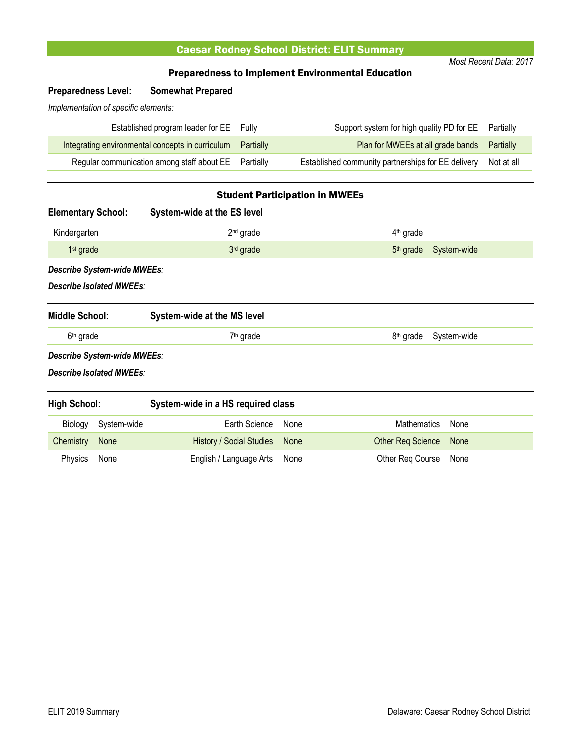# Caesar Rodney School District: ELIT Summary

*Most Recent Data: 2017*

### Preparedness to Implement Environmental Education

# <span id="page-1-0"></span>**Preparedness Level: Somewhat Prepared**

*Implementation of specific elements:*

| Established program leader for EE Fully                    | Support system for high quality PD for EE Partially           |  |
|------------------------------------------------------------|---------------------------------------------------------------|--|
| Integrating environmental concepts in curriculum Partially | Plan for MWEEs at all grade bands Partially                   |  |
| Regular communication among staff about EE Partially       | Established community partnerships for EE delivery Not at all |  |

### Student Participation in MWEEs

| <b>Elementary School:</b> |                             | System-wide at the ES level        |      |                                      |
|---------------------------|-----------------------------|------------------------------------|------|--------------------------------------|
| Kindergarten              |                             | 2 <sup>nd</sup> grade              |      | $4th$ grade                          |
| $1st$ grade               |                             | 3rd grade                          |      | System-wide<br>$5th$ grade           |
|                           | Describe System-wide MWEEs: |                                    |      |                                      |
|                           | Describe Isolated MWEEs:    |                                    |      |                                      |
| <b>Middle School:</b>     |                             | System-wide at the MS level        |      |                                      |
| 6 <sup>th</sup> grade     |                             | 7 <sup>th</sup> grade              |      | System-wide<br>8 <sup>th</sup> grade |
|                           | Describe System-wide MWEEs: |                                    |      |                                      |
|                           | Describe Isolated MWEEs:    |                                    |      |                                      |
| <b>High School:</b>       |                             | System-wide in a HS required class |      |                                      |
| Biology                   | System-wide                 | Earth Science                      | None | <b>Mathematics</b><br>None           |
| Chemistry                 | None                        | <b>History / Social Studies</b>    | None | <b>Other Reg Science</b><br>None     |

Physics None **English / Language Arts None** Cher Req Course None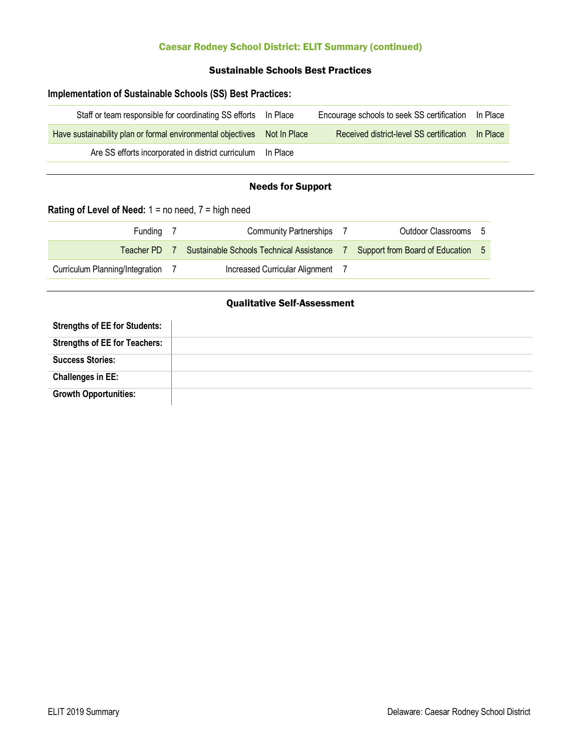# Caesar Rodney School District: ELIT Summary (continued)

### Sustainable Schools Best Practices

## **Implementation of Sustainable Schools (SS) Best Practices:**

| Staff or team responsible for coordinating SS efforts  In Place          | Encourage schools to seek SS certification  In Place |                 |
|--------------------------------------------------------------------------|------------------------------------------------------|-----------------|
| Have sustainability plan or formal environmental objectives Not In Place | Received district-level SS certification             | <b>In Place</b> |
| Are SS efforts incorporated in district curriculum In Place              |                                                      |                 |

#### Needs for Support

# **Rating of Level of Need:** 1 = no need, 7 = high need

J.

| Fundina                         | <b>Community Partnerships</b>            | Outdoor Classrooms                |  |
|---------------------------------|------------------------------------------|-----------------------------------|--|
| Teacher PD 7                    | Sustainable Schools Technical Assistance | Support from Board of Education 5 |  |
| Curriculum Planning/Integration | Increased Curricular Alignment           |                                   |  |

### Qualitative Self-Assessment

| <b>Strengths of EE for Students:</b> |  |
|--------------------------------------|--|
| <b>Strengths of EE for Teachers:</b> |  |
| <b>Success Stories:</b>              |  |
| <b>Challenges in EE:</b>             |  |
| <b>Growth Opportunities:</b>         |  |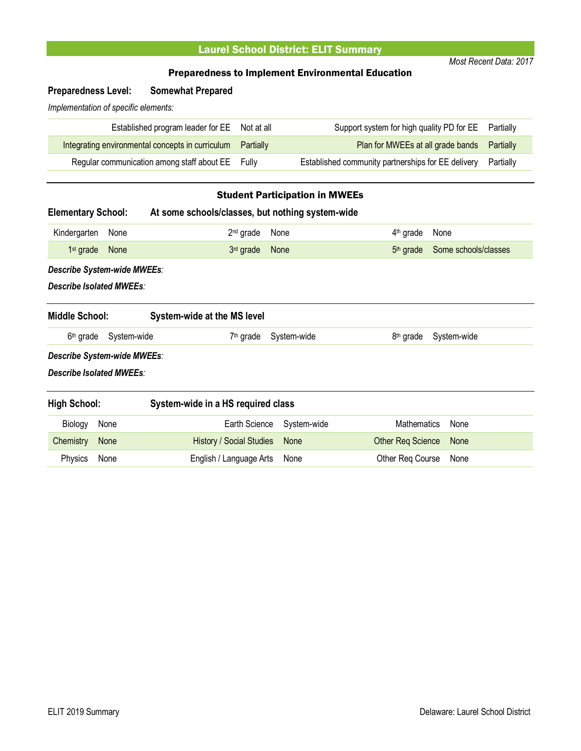# Laurel School District: ELIT Summary

*Most Recent Data: 2017*

### Preparedness to Implement Environmental Education

# <span id="page-3-0"></span>**Preparedness Level: Somewhat Prepared**

*Implementation of specific elements:*

| Established program leader for EE Not at all               | Support system for high quality PD for EE Partially          |  |
|------------------------------------------------------------|--------------------------------------------------------------|--|
| Integrating environmental concepts in curriculum Partially | Plan for MWEEs at all grade bands Partially                  |  |
| Regular communication among staff about EE Fully           | Established community partnerships for EE delivery Partially |  |

# Student Participation in MWEEs

| <b>Elementary School:</b>                               |             | At some schools/classes, but nothing system-wide |             |                                               |
|---------------------------------------------------------|-------------|--------------------------------------------------|-------------|-----------------------------------------------|
| Kindergarten                                            | None        | 2 <sup>nd</sup> grade                            | None        | $4th$ grade<br>None                           |
| 1 <sup>st</sup> grade                                   | None        | 3rd grade                                        | None        | 5 <sup>th</sup> grade<br>Some schools/classes |
| Describe System-wide MWEEs:<br>Describe Isolated MWEEs: |             |                                                  |             |                                               |
| <b>Middle School:</b>                                   |             | System-wide at the MS level                      |             |                                               |
| 6 <sup>th</sup> grade                                   | System-wide | $7th$ grade                                      | System-wide | 8 <sup>th</sup> grade<br>System-wide          |
| Describe System-wide MWEEs:                             |             |                                                  |             |                                               |
| Describe Isolated MWEEs:                                |             |                                                  |             |                                               |
| <b>High School:</b>                                     |             | System-wide in a HS required class               |             |                                               |
| Biology                                                 | None        | Earth Science                                    | System-wide | <b>Mathematics</b><br>None                    |
| Chemistry                                               | None        | <b>History / Social Studies</b>                  | <b>None</b> | <b>Other Reg Science</b><br>None              |

Physics None **English / Language Arts None** Cher Req Course None